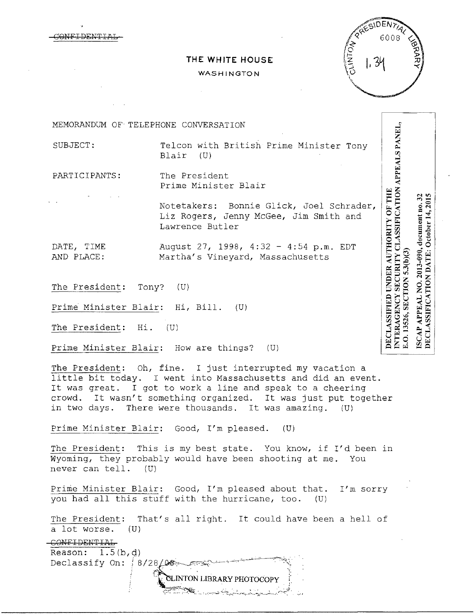MELDENTI

# **THE WHITE HOUSE**

### WASHINGTON



| MEMORANDUM OF TELEPHONE CONVERSATION  |                                                                                                       |                                         |                                  |
|---------------------------------------|-------------------------------------------------------------------------------------------------------|-----------------------------------------|----------------------------------|
| SUBJECT:                              | Telcon with British Prime Minister Tony<br>Blair<br>(U)                                               | PPEALS PANEL                            |                                  |
| PARTICIPANTS:                         | The President<br>Prime Minister Blair                                                                 |                                         |                                  |
|                                       | Notetakers: Bonnie Glick, Joel Schrader,<br>Liz Rogers, Jenny McGee, Jim Smith and<br>Lawrence Butler | SSIFICATION<br><b>OF THE</b><br>THORITY | nt no. 32<br>14, 2015<br>October |
| DATE, TIME<br>AND PLACE:              | August 27, 1998, 4:32 - 4:54 p.m. EDT<br>Martha's Vineyard, Massachusetts                             |                                         | 2013-090, document no.<br>DATE:  |
| The President: Tony?                  | (U)                                                                                                   |                                         | TION<br>o<br>Z                   |
| Prime Minister Blair: Hi, Bill.       | (U)                                                                                                   |                                         | <b>APPEAL</b><br>IFICA           |
| The President: Hi.                    | (U)                                                                                                   |                                         | <b>CLASS</b><br>$\mathbf{A}$     |
| Prime Minister Blair: How are things? | (U)                                                                                                   |                                         | ⊠                                |

The President: Oh, fine. I just interrupted my vacation a little bit today. I went into Massachusetts and did an event. It was great. I got to work a line and speak to a cheering crowd. It wasn't something organized. It was just put together in two days. There were thousands. It was amazing. (U)

Prime Minister Blair: Good, I'm pleased. (U)

The President: This is my best state. You know, if I'd been in Wyoming, they probably would have been shooting at me. You never can tell. (U)

Prime Minister Blair: Good, I'm pleased about that. I'm sorry you had all this stuff with the hurricane, too. (U)

The President: That's all right. It could have been a hell of a lot worse. (U)

-CONFIDENTIAL Reason:  $1.5(b,d)$ 

 $\sum_{i=1}^{n}$ -t.\_:-:-"!-:;\_\_-\_ -~~ -\_\_ '-·:---;--.-:.-~:~.:\_~.:...~.---~.\_.........\_\_\_ .;.\_\_ ..:;:;\_\_\_\_\_.::.\_.\_/...'.·~~.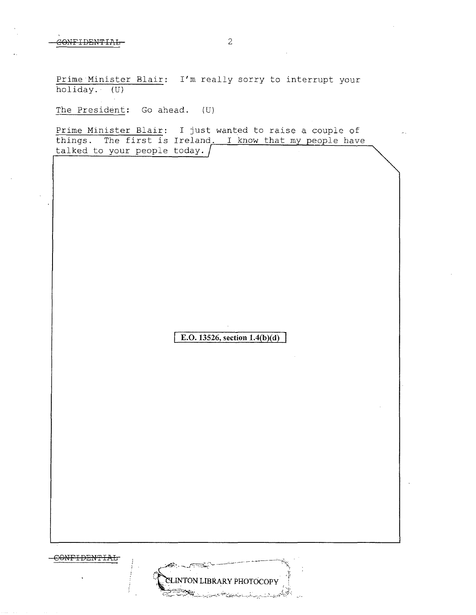CONTIDEN'fIAL

Prime Minister Blair: I'm really sorry to interrupt your holiday.· (U)

The President: Go ahead. (U)

Prime Minister Blair: I just wanted to raise a couple of things. The first is Ireland. I know that my people have talked to your people today.

**E.O. 13526, section 1.4(b)(d)** 

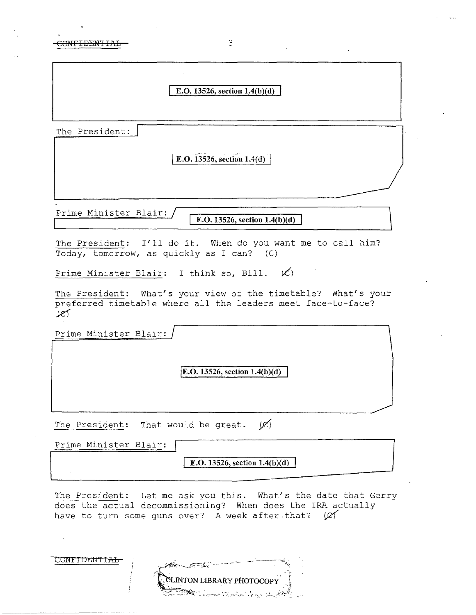CONFIDENTIAL 3

|  | 0. 13526. section 1.4(b)(d) |  |  |
|--|-----------------------------|--|--|
|  |                             |  |  |
|  |                             |  |  |

The President:

\ **E.0.13526, section 1.4(d)** 

Prime Minister Blair:

**E.O. 13526, section 1.4(b)(d)** 

The President: I'll do it. When do you want me to call him? Today, tomorrow, as quickly as I can? (C)

Prime Minister Blair: I think so, Bill.  $\cancel{(C)}$ 

The President: What's your view of the timetable? What's your preferred timetable where all the leaders meet face-to-face?  $100$ 

Prime Minister Blair:

CONFIDENTIAL

**jE.O. 13526, section l.4(b)(d)** 

The President: That would be great.  $(\mathcal{C})$ 

| Prime Minister Blair: |                                        |
|-----------------------|----------------------------------------|
|                       | <b>E.O.</b> 13526, section $1.4(b)(d)$ |
|                       |                                        |

The President: Let me ask you this. What's the date that Gerry does the actual decommissioning? When does the IRA actually have to turn some guns over? A week after that? ( $\varnothing$ 

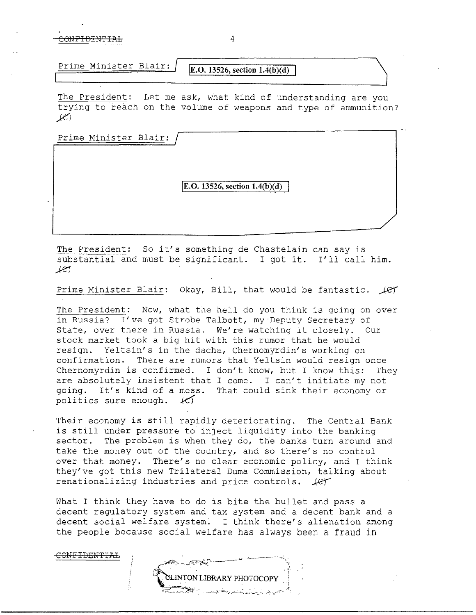CONFIDENTIAL 4

CONF<del>IDENTIAL</del>

**Prime Minister Blair: IE.O. 13526, section 1.4(b)(d)** 

The President: Let me ask, what kind of understanding are you trying to reach on the volume of weapons and type of ammunition?  $K$ 

Prime Minister Blair:

**IE.O. 13526, section 1.4(b)(d)** 

The President: So it's something de Chastelain can say is substantial and must be significant. I got it. I'll call him. *.Je)* 

Prime Minister Blair: Okay, Bill, that would be fantastic. *Jet* 

The President: Now, what the hell do you think is going on over in Russia? I've got Strobe Talbott, my Deputy Secretary of State, over there in Russia. We're watching it closely. Our stock market took a big hit with this rumor that he would resign. Yeltsin's in the dacha, Chernomyrdin's working on confirmation. There are rumors that Yeltsin would resign once Chernomyrdin is confirmed. I don't know, but I know this: They are absolutely insistent that I come. I can't initiate my not going. It's kind of a mess. That could sink their economy or politics sure enough.  $k$ 

Their economy is still rapidly deteriorating. The Central Bank is still under pressure to inject liquidity into the banking sector. The problem is when they do, the banks turn around and take the money out of the country, and so there's no control over that money. There's no clear economic policy, and I think they've got this new Trilateral Duma Commission, talking about renationalizing industries and price controls.  $\text{Ler}$ 

What I think they have to do is bite the bullet and pass a decent regulatory system and tax system and a decent bank and a decent social welfare system. I think there's alienation among the people because social welfare has always been a fraud in

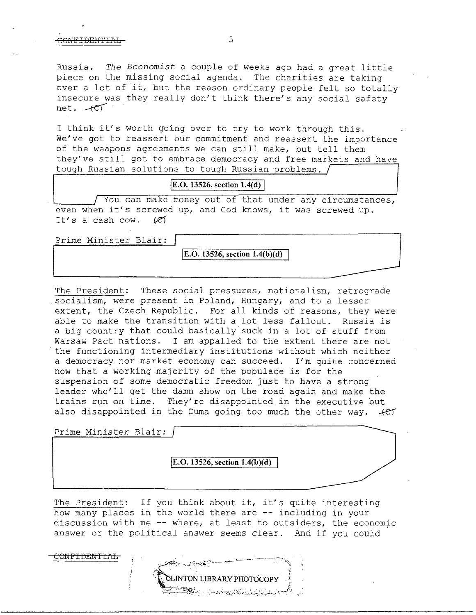## CONFIDENTIAL-<br>5

Russia. *The Economist* a couple of weeks ago had a great little piece on the missing social agenda. The charities are taking over a lot of it, but the reason ordinary people felt so totally insecure was they really don't think there's any social safety net.  $+e^{\gamma}$ 

I think it's worth going over to try to work through this. We've got to reassert our commitment and reassert the importance of the weapons agreements we can still make, but tell them they've still got to embrace democracy and free markets and have tough Russian solutions to tough Russian problems.

**[E.O. 13526, section 1.4(d)** 

You can make money out of that under any circumstances, even when it's screwed up, and God knows, it was screwed up. It's a cash cow.  $16$ 

Prime Minister Blair:

**E.O. 13526, section 1.4(b)(d)** 

The President: These social pressures, nationalism, retrograde socialism, were present in Poland, Hungary, and to a lesser extent, the Czech Republic. For all kinds of reasons, they were able to make the transition with a lot less fallout. Russia is a big country that could basically suck in a lot of stuff from Warsaw Pact nations. I am appalled to the extent there are not the functioning intermediary institutions without which neither a democracy nor market economy can succeed. I'm quite concerned now that a working majority of the populace is for the suspension of some democratic freedom just to have a strong leader who'll get the damn show on the road again and make the trains run on time. They're disappointed in the executive but also disappointed in the Duma going too much the other way.  $+e^{i\pi}$ 

Prime Minister Blair:

COMFIDEN'fIAL

**jE.O. 13526, section 1.4(b )(d)** 

The President: If you think about it, it's quite interesting how many places in the world there are -- including in your discussion with me  $-$ - where, at least to outsiders, the economic answer or the political answer seems clear. And if you could

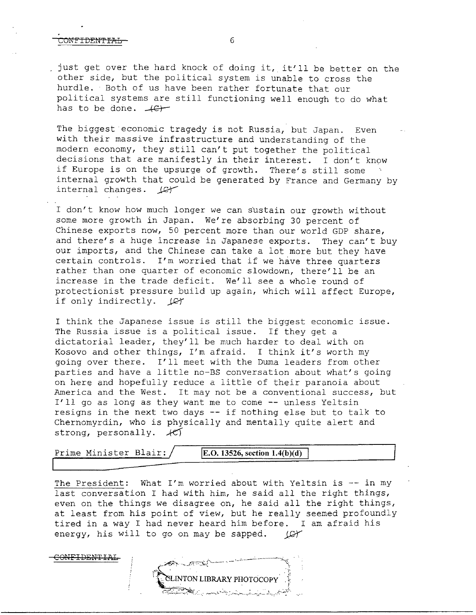#### CNEIDENTEAL 6

<del>CONFIDENTIAL</del>

just get over the hard knock of doing it, it'll be better on the other side, but the political system is unable to cross the hurdle. Both of us have been rather fortunate that our political systems are still functioning well enough to do what has to be done.  $+C$ -

The biggest economic tragedy is not Russia, but Japan. Even with their massive infrastructure and understanding of the modern economy, they still can't put together the political decisions that are manifestly in their interest. I don't know if Europe is on the upsurge of growth. There's still some internal growth that could be generated by France and Germany by internal changes.  $\mathcal{L}$ 

I don't know how much longer we can sustain our growth without some more growth in Japan. We're absorbing 30 percent of Chinese exports now, 50 percent more than our world GDP share, and there's a huge increase in Japanese exports. They can't buy our imports, and the Chinese can take a lot more but they have certain controls. I'm worried that if we have three quarters rather than one quarter of economic slowdown, there'll be an increase in the trade deficit. We'll see a whole round of protectionist pressure build up again, which will affect Europe, if only indirectly.  $\mathcal{L}$ 

I think the Japanese issue is still the biggest economic issue. The Russia issue is a political issue. If they get a dictatorial leader, they'll be much harder to deal with on Kosovo and other things, I'm afraid. I think it's worth my going over there. I'll meet with the Duma leaders from other parties and have a little no-BS conversation about what's going on here and hopefully reduce a little of their paranoia about America and the West. It may not be a conventional success, but I'll go as long as they want me to come -- unless Yeltsin resigns in the next two days -- if nothing else but to talk to Chernomyrdin, who is physically and mentally quite alert and strong, personally.  $\mathcal{H}$ 

| R1<br>$\sim$<br>Minister .<br>بترجين<br>Prime | $.13526$ , section $1.4(b)(d)$<br>IE.O. |
|-----------------------------------------------|-----------------------------------------|
|                                               | ----                                    |

The President: What I'm worried about with Yeltsin is -- in my last conversation I had with him, he said all the right things, even on the things we disagree on, he said all the right things, at least from his point of view, but he really seemed profoundly tired in a way I had never heard him before. I am afraid his energy, his will to go on may be sapped. (C)

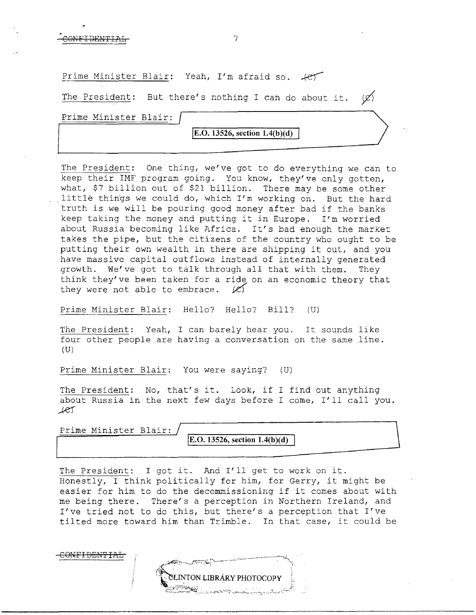Prime Minister Blair: Yeah, I'm afraid so.  $+e^{\frac{1}{2}}$ 

The President: But there's nothing I can do about it.  $(\varnothing)$ 

Prime Minister Blair:

**jE.O. 13526, section 1.4(b)(d)** 

The President: One thing, we've got to do everything we can to keep their IMF program going. You know, they've only gotten, what, \$7 billion out of \$21 billion. There may be some other little things we could do, which I'm working on. But the hard truth is we will be pouring good money after bad if the banks keep taking the money and putting it in Europe. I'm worried about Russia becoming like Africa. It's bad enough the market takes the pipe, but the citizens of the country who ought to be putting their own wealth in there are shipping it out, and you have massive capital outflows instead of internally generated growth. We've got to talk through all that with them. They think they've been taken for a ride on an economic theory that they were not able to embrace.  $|C\rangle$ 

Prime Minister Blair: Hello? Hello? Bill? (U}

The President: Yeah, I can barely hear you. It sounds like four other people are having a conversation on the same line.  $(U)$ 

Prime Minister Blair: You were saying? (U}

The President: No, that's it. Look, if I find out anything about Russia in the next few days before I come, I'll call you . .)-e)'

Prime Minister Blair:

**E.O. 13526**, section **1.4(b)(d)** 

The President: I got it. And I'll get to work on it. Honestly, I think politically for him, for Gerry, it might be easier for him to do the decommissioning if it comes about with me being there. There's a perception in Northern Ireland, and I've tried not to do this, but there's a perception that I've tilted more toward him than Trimble. In that case, it could be

<del>CONFIDENTIAL</del>